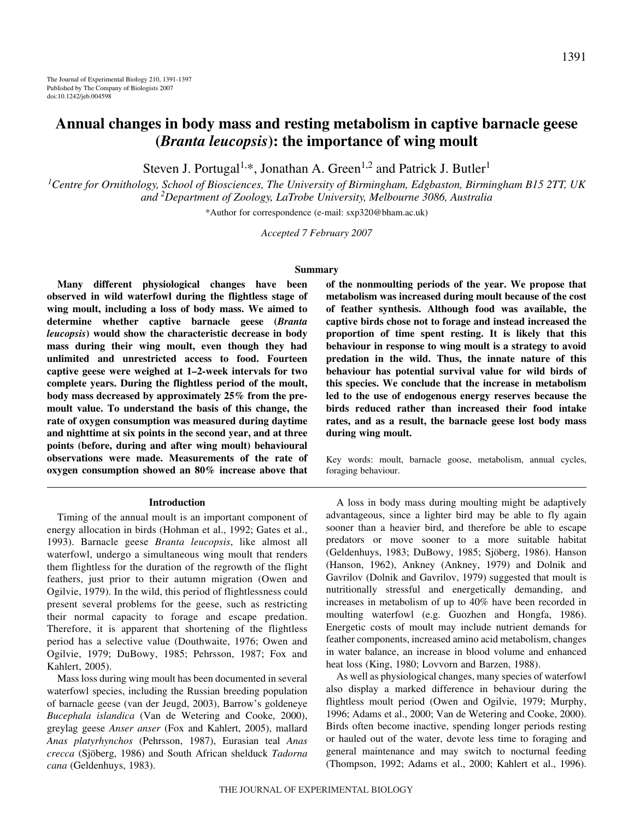# **Annual changes in body mass and resting metabolism in captive barnacle geese (***Branta leucopsis***): the importance of wing moult**

Steven J. Portugal<sup>1,\*</sup>, Jonathan A. Green<sup>1,2</sup> and Patrick J. Butler<sup>1</sup>

*1 Centre for Ornithology, School of Biosciences, The University of Birmingham, Edgbaston, Birmingham B15 2TT, UK and 2 Department of Zoology, LaTrobe University, Melbourne 3086, Australia*

\*Author for correspondence (e-mail: sxp320@bham.ac.uk)

*Accepted 7 February 2007*

#### **Summary**

**Many different physiological changes have been observed in wild waterfowl during the flightless stage of wing moult, including a loss of body mass. We aimed to determine whether captive barnacle geese (***Branta leucopsis***) would show the characteristic decrease in body mass during their wing moult, even though they had unlimited and unrestricted access to food. Fourteen captive geese were weighed at 1–2-week intervals for two complete years. During the flightless period of the moult, body mass decreased by approximately 25% from the premoult value. To understand the basis of this change, the rate of oxygen consumption was measured during daytime and nighttime at six points in the second year, and at three points (before, during and after wing moult) behavioural observations were made. Measurements of the rate of oxygen consumption showed an 80% increase above that**

#### **Introduction**

Timing of the annual moult is an important component of energy allocation in birds (Hohman et al., 1992; Gates et al., 1993). Barnacle geese *Branta leucopsis*, like almost all waterfowl, undergo a simultaneous wing moult that renders them flightless for the duration of the regrowth of the flight feathers, just prior to their autumn migration (Owen and Ogilvie, 1979). In the wild, this period of flightlessness could present several problems for the geese, such as restricting their normal capacity to forage and escape predation. Therefore, it is apparent that shortening of the flightless period has a selective value (Douthwaite, 1976; Owen and Ogilvie, 1979; DuBowy, 1985; Pehrsson, 1987; Fox and Kahlert, 2005).

Mass loss during wing moult has been documented in several waterfowl species, including the Russian breeding population of barnacle geese (van der Jeugd, 2003), Barrow's goldeneye *Bucephala islandica* (Van de Wetering and Cooke, 2000), greylag geese *Anser anser* (Fox and Kahlert, 2005), mallard *Anas platyrhynchos* (Pehrsson, 1987), Eurasian teal *Anas crecca* (Sjöberg, 1986) and South African shelduck *Tadorna cana* (Geldenhuys, 1983).

**of the nonmoulting periods of the year. We propose that metabolism was increased during moult because of the cost of feather synthesis. Although food was available, the captive birds chose not to forage and instead increased the proportion of time spent resting. It is likely that this behaviour in response to wing moult is a strategy to avoid predation in the wild. Thus, the innate nature of this behaviour has potential survival value for wild birds of this species. We conclude that the increase in metabolism led to the use of endogenous energy reserves because the birds reduced rather than increased their food intake rates, and as a result, the barnacle geese lost body mass during wing moult.**

Key words: moult, barnacle goose, metabolism, annual cycles, foraging behaviour.

A loss in body mass during moulting might be adaptively advantageous, since a lighter bird may be able to fly again sooner than a heavier bird, and therefore be able to escape predators or move sooner to a more suitable habitat (Geldenhuys, 1983; DuBowy, 1985; Sjöberg, 1986). Hanson (Hanson, 1962), Ankney (Ankney, 1979) and Dolnik and Gavrilov (Dolnik and Gavrilov, 1979) suggested that moult is nutritionally stressful and energetically demanding, and increases in metabolism of up to 40% have been recorded in moulting waterfowl (e.g. Guozhen and Hongfa, 1986). Energetic costs of moult may include nutrient demands for feather components, increased amino acid metabolism, changes in water balance, an increase in blood volume and enhanced heat loss (King, 1980; Lovvorn and Barzen, 1988).

As well as physiological changes, many species of waterfowl also display a marked difference in behaviour during the flightless moult period (Owen and Ogilvie, 1979; Murphy, 1996; Adams et al., 2000; Van de Wetering and Cooke, 2000). Birds often become inactive, spending longer periods resting or hauled out of the water, devote less time to foraging and general maintenance and may switch to nocturnal feeding (Thompson, 1992; Adams et al., 2000; Kahlert et al., 1996).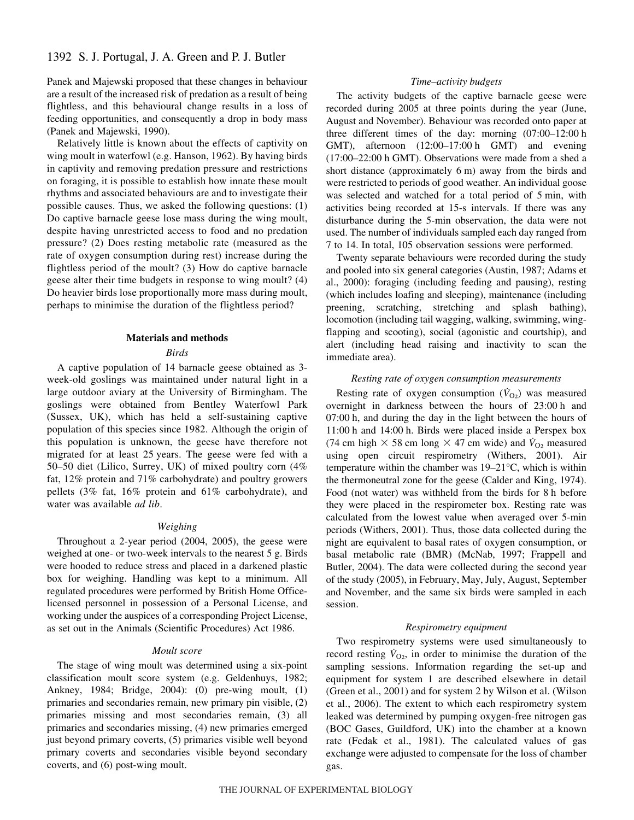# 1392 S. J. Portugal, J. A. Green and P. J. Butler

Panek and Majewski proposed that these changes in behaviour are a result of the increased risk of predation as a result of being flightless, and this behavioural change results in a loss of feeding opportunities, and consequently a drop in body mass (Panek and Majewski, 1990).

Relatively little is known about the effects of captivity on wing moult in waterfowl (e.g. Hanson, 1962). By having birds in captivity and removing predation pressure and restrictions on foraging, it is possible to establish how innate these moult rhythms and associated behaviours are and to investigate their possible causes. Thus, we asked the following questions: (1) Do captive barnacle geese lose mass during the wing moult, despite having unrestricted access to food and no predation pressure? (2) Does resting metabolic rate (measured as the rate of oxygen consumption during rest) increase during the flightless period of the moult? (3) How do captive barnacle geese alter their time budgets in response to wing moult? (4) Do heavier birds lose proportionally more mass during moult, perhaps to minimise the duration of the flightless period?

#### **Materials and methods**

#### *Birds*

A captive population of 14 barnacle geese obtained as 3 week-old goslings was maintained under natural light in a large outdoor aviary at the University of Birmingham. The goslings were obtained from Bentley Waterfowl Park (Sussex, UK), which has held a self-sustaining captive population of this species since 1982. Although the origin of this population is unknown, the geese have therefore not migrated for at least 25 years. The geese were fed with a 50–50 diet (Lilico, Surrey, UK) of mixed poultry corn (4% fat, 12% protein and 71% carbohydrate) and poultry growers pellets (3% fat, 16% protein and 61% carbohydrate), and water was available *ad lib*.

#### *Weighing*

Throughout a 2-year period (2004, 2005), the geese were weighed at one- or two-week intervals to the nearest 5 g. Birds were hooded to reduce stress and placed in a darkened plastic box for weighing. Handling was kept to a minimum. All regulated procedures were performed by British Home Officelicensed personnel in possession of a Personal License, and working under the auspices of a corresponding Project License, as set out in the Animals (Scientific Procedures) Act 1986.

## *Moult score*

The stage of wing moult was determined using a six-point classification moult score system (e.g. Geldenhuys, 1982; Ankney, 1984; Bridge, 2004): (0) pre-wing moult, (1) primaries and secondaries remain, new primary pin visible, (2) primaries missing and most secondaries remain, (3) all primaries and secondaries missing, (4) new primaries emerged just beyond primary coverts, (5) primaries visible well beyond primary coverts and secondaries visible beyond secondary coverts, and (6) post-wing moult.

#### *Time–activity budgets*

The activity budgets of the captive barnacle geese were recorded during 2005 at three points during the year (June, August and November). Behaviour was recorded onto paper at three different times of the day: morning  $(07:00-12:00h)$ GMT), afternoon (12:00–17:00 h GMT) and evening  $(17:00-22:00h$  GMT). Observations were made from a shed a short distance (approximately  $6 \text{ m}$ ) away from the birds and were restricted to periods of good weather. An individual goose was selected and watched for a total period of 5 min, with activities being recorded at 15-s intervals. If there was any disturbance during the 5-min observation, the data were not used. The number of individuals sampled each day ranged from 7 to 14. In total, 105 observation sessions were performed.

Twenty separate behaviours were recorded during the study and pooled into six general categories (Austin, 1987; Adams et al., 2000): foraging (including feeding and pausing), resting (which includes loafing and sleeping), maintenance (including preening, scratching, stretching and splash bathing), locomotion (including tail wagging, walking, swimming, wingflapping and scooting), social (agonistic and courtship), and alert (including head raising and inactivity to scan the immediate area).

#### *Resting rate of oxygen consumption measurements*

Resting rate of oxygen consumption  $(\dot{V}_{O_2})$  was measured overnight in darkness between the hours of 23:00 h and  $07:00h$ , and during the day in the light between the hours of 11:00 h and 14:00 h. Birds were placed inside a Perspex box (74 cm high  $\times$  58 cm long  $\times$  47 cm wide) and  $\dot{V}_{O_2}$  measured using open circuit respirometry (Withers, 2001). Air temperature within the chamber was 19–21°C, which is within the thermoneutral zone for the geese (Calder and King, 1974). Food (not water) was withheld from the birds for 8 h before they were placed in the respirometer box. Resting rate was calculated from the lowest value when averaged over 5-min periods (Withers, 2001). Thus, those data collected during the night are equivalent to basal rates of oxygen consumption, or basal metabolic rate (BMR) (McNab, 1997; Frappell and Butler, 2004). The data were collected during the second year of the study (2005), in February, May, July, August, September and November, and the same six birds were sampled in each session.

#### *Respirometry equipment*

Two respirometry systems were used simultaneously to record resting  $V_{\text{O}_2}$ , in order to minimise the duration of the sampling sessions. Information regarding the set-up and equipment for system 1 are described elsewhere in detail (Green et al., 2001) and for system 2 by Wilson et al. (Wilson et al., 2006). The extent to which each respirometry system leaked was determined by pumping oxygen-free nitrogen gas (BOC Gases, Guildford, UK) into the chamber at a known rate (Fedak et al., 1981). The calculated values of gas exchange were adjusted to compensate for the loss of chamber gas.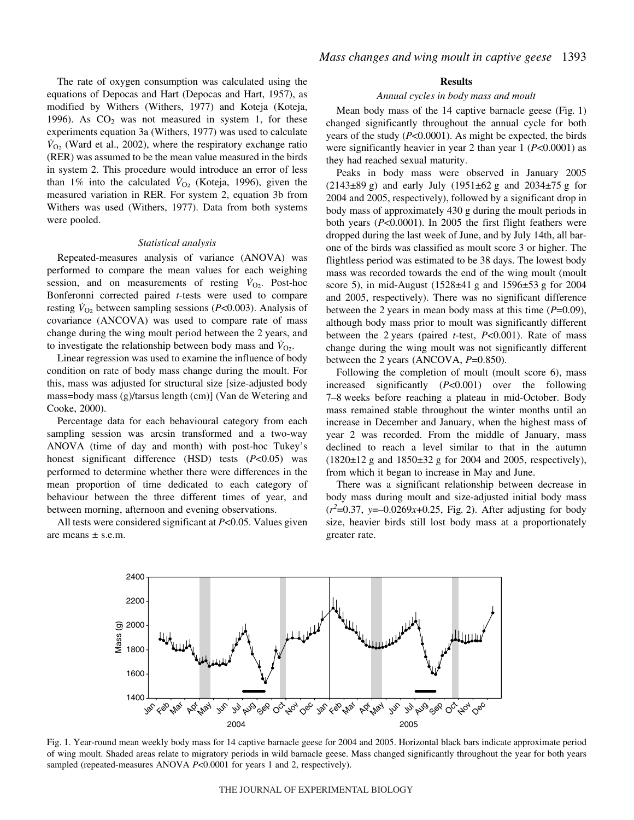The rate of oxygen consumption was calculated using the equations of Depocas and Hart (Depocas and Hart, 1957), as modified by Withers (Withers, 1977) and Koteja (Koteja, 1996). As  $CO<sub>2</sub>$  was not measured in system 1, for these experiments equation 3a (Withers, 1977) was used to calculate  $V_{\text{O}_2}$  (Ward et al., 2002), where the respiratory exchange ratio (RER) was assumed to be the mean value measured in the birds in system 2. This procedure would introduce an error of less than 1% into the calculated  $\dot{V}_{\text{O}_2}$  (Koteja, 1996), given the measured variation in RER. For system 2, equation 3b from Withers was used (Withers, 1977). Data from both systems were pooled.

#### *Statistical analysis*

Repeated-measures analysis of variance (ANOVA) was performed to compare the mean values for each weighing session, and on measurements of resting  $V_{\text{O}_2}$ . Post-hoc Bonferonni corrected paired *t*-tests were used to compare resting  $V_{O_2}$  between sampling sessions ( $P<0.003$ ). Analysis of covariance (ANCOVA) was used to compare rate of mass change during the wing moult period between the 2 years, and to investigate the relationship between body mass and  $V_{\text{O}_2}$ .

Linear regression was used to examine the influence of body condition on rate of body mass change during the moult. For this, mass was adjusted for structural size [size-adjusted body mass=body mass (g)/tarsus length (cm)] (Van de Wetering and Cooke, 2000).

Percentage data for each behavioural category from each sampling session was arcsin transformed and a two-way ANOVA (time of day and month) with post-hoc Tukey's honest significant difference (HSD) tests (*P*<0.05) was performed to determine whether there were differences in the mean proportion of time dedicated to each category of behaviour between the three different times of year, and between morning, afternoon and evening observations.

All tests were considered significant at *P*<0.05. Values given are means  $\pm$  s.e.m.

#### **Results**

#### *Annual cycles in body mass and moult*

Mean body mass of the 14 captive barnacle geese (Fig*.·*1) changed significantly throughout the annual cycle for both years of the study (*P*<0.0001). As might be expected, the birds were significantly heavier in year 2 than year 1 (*P*<0.0001) as they had reached sexual maturity.

Peaks in body mass were observed in January 2005  $(2143\pm 89 \text{ g})$  and early July  $(1951\pm 62 \text{ g})$  and  $2034\pm 75 \text{ g}$  for 2004 and 2005, respectively), followed by a significant drop in body mass of approximately 430 g during the moult periods in both years (*P*<0.0001). In 2005 the first flight feathers were dropped during the last week of June, and by July 14th, all barone of the birds was classified as moult score 3 or higher. The flightless period was estimated to be 38 days. The lowest body mass was recorded towards the end of the wing moult (moult score 5), in mid-August  $(1528±41~g$  and  $1596±53~g$  for 2004 and 2005, respectively). There was no significant difference between the 2 years in mean body mass at this time  $(P=0.09)$ , although body mass prior to moult was significantly different between the 2 years (paired *t*-test, *P*<0.001). Rate of mass change during the wing moult was not significantly different between the 2 years (ANCOVA, *P*=0.850).

Following the completion of moult (moult score 6), mass increased significantly (*P*<0.001) over the following 7–8 weeks before reaching a plateau in mid-October. Body mass remained stable throughout the winter months until an increase in December and January, when the highest mass of year 2 was recorded. From the middle of January, mass declined to reach a level similar to that in the autumn  $(1820 \pm 12$  g and  $1850 \pm 32$  g for 2004 and 2005, respectively), from which it began to increase in May and June.

There was a significant relationship between decrease in body mass during moult and size-adjusted initial body mass  $(r^2=0.37, y=-0.0269x+0.25,$  Fig. 2). After adjusting for body size, heavier birds still lost body mass at a proportionately greater rate.



Fig. 1. Year-round mean weekly body mass for 14 captive barnacle geese for 2004 and 2005. Horizontal black bars indicate approximate period of wing moult. Shaded areas relate to migratory periods in wild barnacle geese. Mass changed significantly throughout the year for both years sampled (repeated-measures ANOVA *P*<0.0001 for years 1 and 2, respectively).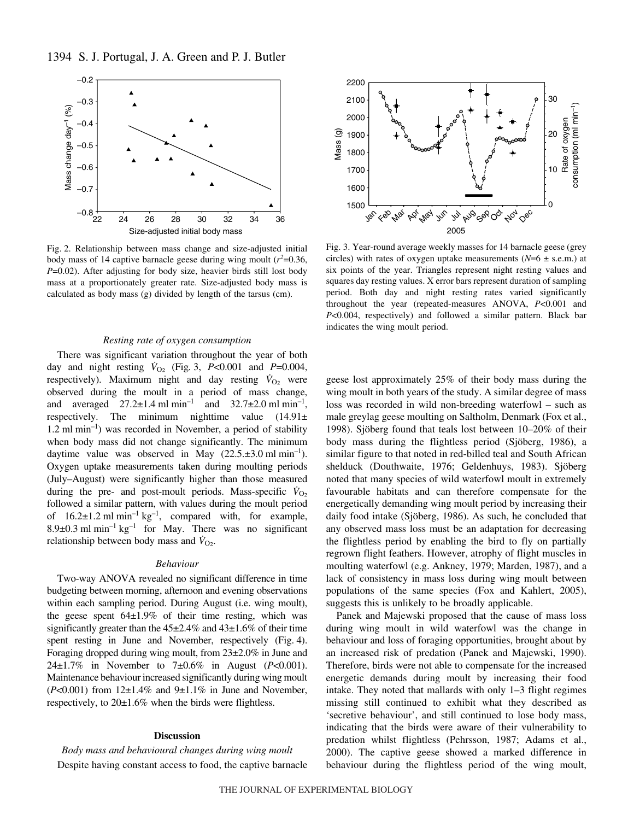

Fig. 2. Relationship between mass change and size-adjusted initial body mass of 14 captive barnacle geese during wing moult  $(r^2=0.36)$ , *P*=0.02). After adjusting for body size, heavier birds still lost body mass at a proportionately greater rate. Size-adjusted body mass is calculated as body mass (g) divided by length of the tarsus (cm).

## *Resting rate of oxygen consumption*

There was significant variation throughout the year of both day and night resting  $\dot{V}_{O_2}$  (Fig. 3, *P*<0.001 and *P*=0.004, respectively). Maximum night and day resting  $\dot{V}_{O_2}$  were observed during the moult in a period of mass change, and averaged  $27.2\pm1.4$  ml min<sup>-1</sup> and  $32.7\pm2.0$  ml min<sup>-1</sup>, respectively. The minimum nighttime value  $(14.91\pm$  $1.2 \text{ ml min}^{-1}$  was recorded in November, a period of stability when body mass did not change significantly. The minimum daytime value was observed in May  $(22.5 \pm 3.0 \text{ ml min}^{-1})$ . Oxygen uptake measurements taken during moulting periods (July–August) were significantly higher than those measured during the pre- and post-moult periods. Mass-specific  $\dot{V}_{\text{O}_2}$ followed a similar pattern, with values during the moult period of  $16.2 \pm 1.2$  ml min<sup>-1</sup> kg<sup>-1</sup>, compared with, for example, 8.9 $\pm$ 0.3 ml min<sup>-1</sup> kg<sup>-1</sup> for May. There was no significant relationship between body mass and  $\dot{V}_{\text{O}_2}$ .

#### *Behaviour*

Two-way ANOVA revealed no significant difference in time budgeting between morning, afternoon and evening observations within each sampling period. During August (i.e. wing moult), the geese spent  $64\pm1.9\%$  of their time resting, which was significantly greater than the  $45\pm2.4\%$  and  $43\pm1.6\%$  of their time spent resting in June and November, respectively (Fig. 4). Foraging dropped during wing moult, from 23±2.0% in June and 24±1.7% in November to 7±0.6% in August (*P*<0.001). Maintenance behaviour increased significantly during wing moult  $(P<0.001)$  from  $12\pm1.4\%$  and  $9\pm1.1\%$  in June and November, respectively, to  $20\pm1.6\%$  when the birds were flightless.

# **Discussion**

*Body mass and behavioural changes during wing moult* Despite having constant access to food, the captive barnacle



Fig. 3. Year-round average weekly masses for 14 barnacle geese (grey circles) with rates of oxygen uptake measurements  $(N=6 \pm s.e.m.)$  at six points of the year. Triangles represent night resting values and squares day resting values. X error bars represent duration of sampling period. Both day and night resting rates varied significantly throughout the year (repeated-measures ANOVA, *P*<0.001 and *P*<0.004, respectively) and followed a similar pattern. Black bar indicates the wing moult period.

geese lost approximately 25% of their body mass during the wing moult in both years of the study. A similar degree of mass loss was recorded in wild non-breeding waterfowl – such as male greylag geese moulting on Saltholm, Denmark (Fox et al., 1998). Sjöberg found that teals lost between 10–20% of their body mass during the flightless period (Sjöberg, 1986), a similar figure to that noted in red-billed teal and South African shelduck (Douthwaite, 1976; Geldenhuys, 1983). Sjöberg noted that many species of wild waterfowl moult in extremely favourable habitats and can therefore compensate for the energetically demanding wing moult period by increasing their daily food intake (Sjöberg, 1986). As such, he concluded that any observed mass loss must be an adaptation for decreasing the flightless period by enabling the bird to fly on partially regrown flight feathers. However, atrophy of flight muscles in moulting waterfowl (e.g. Ankney, 1979; Marden, 1987), and a lack of consistency in mass loss during wing moult between populations of the same species (Fox and Kahlert, 2005), suggests this is unlikely to be broadly applicable.

Panek and Majewski proposed that the cause of mass loss during wing moult in wild waterfowl was the change in behaviour and loss of foraging opportunities, brought about by an increased risk of predation (Panek and Majewski, 1990). Therefore, birds were not able to compensate for the increased energetic demands during moult by increasing their food intake. They noted that mallards with only 1–3 flight regimes missing still continued to exhibit what they described as 'secretive behaviour', and still continued to lose body mass, indicating that the birds were aware of their vulnerability to predation whilst flightless (Pehrsson, 1987; Adams et al., 2000). The captive geese showed a marked difference in behaviour during the flightless period of the wing moult,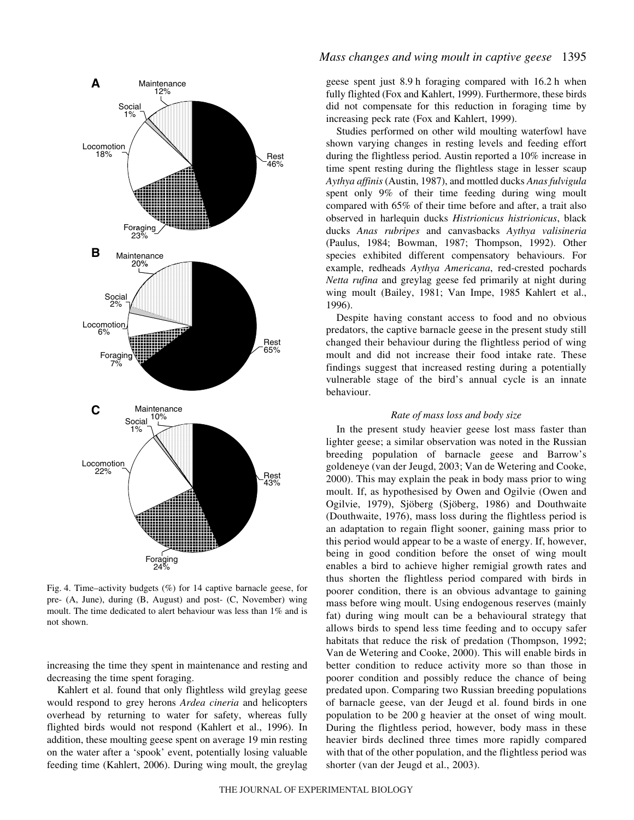

Fig. 4. Time–activity budgets  $(\%)$  for 14 captive barnacle geese, for pre- (A, June), during (B, August) and post- (C, November) wing moult. The time dedicated to alert behaviour was less than 1% and is not shown.

increasing the time they spent in maintenance and resting and decreasing the time spent foraging.

Kahlert et al. found that only flightless wild greylag geese would respond to grey herons *Ardea cineria* and helicopters overhead by returning to water for safety, whereas fully flighted birds would not respond (Kahlert et al., 1996). In addition, these moulting geese spent on average 19 min resting on the water after a 'spook' event, potentially losing valuable feeding time (Kahlert, 2006). During wing moult, the greylag

# *Mass changes and wing moult in captive geese* 1395

geese spent just 8.9 h foraging compared with 16.2 h when fully flighted (Fox and Kahlert, 1999). Furthermore, these birds did not compensate for this reduction in foraging time by increasing peck rate (Fox and Kahlert, 1999).

Studies performed on other wild moulting waterfowl have shown varying changes in resting levels and feeding effort during the flightless period. Austin reported a 10% increase in time spent resting during the flightless stage in lesser scaup *Aythya affinis* (Austin, 1987), and mottled ducks *Anas fulvigula* spent only 9% of their time feeding during wing moult compared with 65% of their time before and after, a trait also observed in harlequin ducks *Histrionicus histrionicus*, black ducks *Anas rubripes* and canvasbacks *Aythya valisineria* (Paulus, 1984; Bowman, 1987; Thompson, 1992). Other species exhibited different compensatory behaviours. For example, redheads *Aythya Americana*, red-crested pochards *Netta rufina* and greylag geese fed primarily at night during wing moult (Bailey, 1981; Van Impe, 1985 Kahlert et al., 1996).

Despite having constant access to food and no obvious predators, the captive barnacle geese in the present study still changed their behaviour during the flightless period of wing moult and did not increase their food intake rate. These findings suggest that increased resting during a potentially vulnerable stage of the bird's annual cycle is an innate behaviour.

# *Rate of mass loss and body size*

In the present study heavier geese lost mass faster than lighter geese; a similar observation was noted in the Russian breeding population of barnacle geese and Barrow's goldeneye (van der Jeugd, 2003; Van de Wetering and Cooke, 2000). This may explain the peak in body mass prior to wing moult. If, as hypothesised by Owen and Ogilvie (Owen and Ogilvie, 1979), Sjöberg (Sjöberg, 1986) and Douthwaite (Douthwaite, 1976), mass loss during the flightless period is an adaptation to regain flight sooner, gaining mass prior to this period would appear to be a waste of energy. If, however, being in good condition before the onset of wing moult enables a bird to achieve higher remigial growth rates and thus shorten the flightless period compared with birds in poorer condition, there is an obvious advantage to gaining mass before wing moult. Using endogenous reserves (mainly fat) during wing moult can be a behavioural strategy that allows birds to spend less time feeding and to occupy safer habitats that reduce the risk of predation (Thompson, 1992; Van de Wetering and Cooke, 2000). This will enable birds in better condition to reduce activity more so than those in poorer condition and possibly reduce the chance of being predated upon. Comparing two Russian breeding populations of barnacle geese, van der Jeugd et al. found birds in one population to be 200 g heavier at the onset of wing moult. During the flightless period, however, body mass in these heavier birds declined three times more rapidly compared with that of the other population, and the flightless period was shorter (van der Jeugd et al., 2003).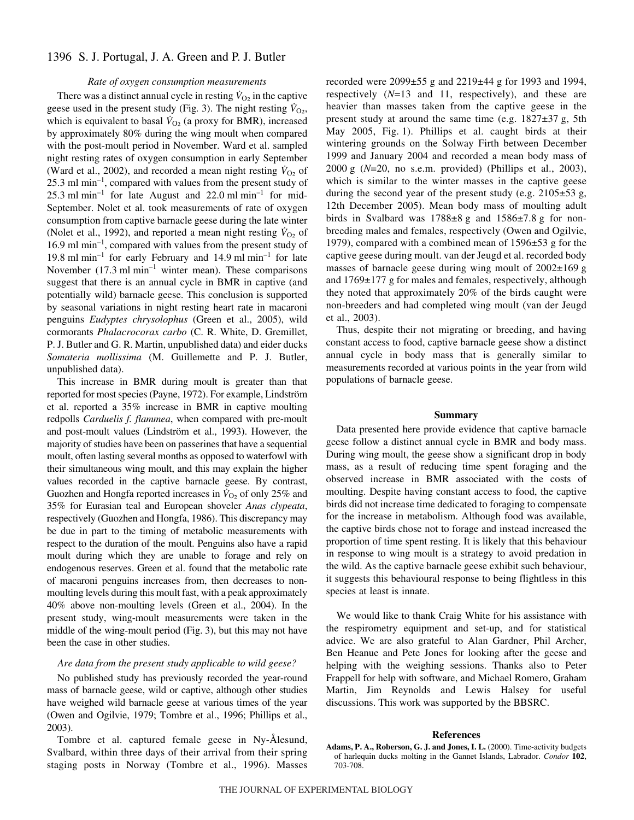# 1396 S. J. Portugal, J. A. Green and P. J. Butler

#### *Rate of oxygen consumption measurements*

There was a distinct annual cycle in resting  $\dot{V}_{O_2}$  in the captive geese used in the present study (Fig. 3). The night resting  $\dot{V}_{O_2}$ , which is equivalent to basal  $\dot{V}_{\text{O}_2}$  (a proxy for BMR), increased by approximately 80% during the wing moult when compared with the post-moult period in November. Ward et al. sampled night resting rates of oxygen consumption in early September (Ward et al., 2002), and recorded a mean night resting  $\dot{V}_{O_2}$  of  $25.3$  ml min<sup>-1</sup>, compared with values from the present study of 25.3 ml min<sup>-1</sup> for late August and 22.0 ml min<sup>-1</sup> for mid-September. Nolet et al. took measurements of rate of oxygen consumption from captive barnacle geese during the late winter (Nolet et al., 1992), and reported a mean night resting  $\dot{V}_{O_2}$  of 16.9 ml min<sup>-1</sup>, compared with values from the present study of 19.8 ml  $min^{-1}$  for early February and 14.9 ml  $min^{-1}$  for late November  $(17.3 \text{ ml min}^{-1}$  winter mean). These comparisons suggest that there is an annual cycle in BMR in captive (and potentially wild) barnacle geese. This conclusion is supported by seasonal variations in night resting heart rate in macaroni penguins *Eudyptes chrysolophus* (Green et al., 2005), wild cormorants *Phalacrocorax carbo* (C. R. White, D. Gremillet, P. J. Butler and G. R. Martin, unpublished data) and eider ducks *Somateria mollissima* (M. Guillemette and P. J. Butler, unpublished data).

This increase in BMR during moult is greater than that reported for most species (Payne, 1972). For example, Lindström et al. reported a 35% increase in BMR in captive moulting redpolls *Carduelis f. flammea*, when compared with pre-moult and post-moult values (Lindström et al., 1993). However, the majority of studies have been on passerines that have a sequential moult, often lasting several months as opposed to waterfowl with their simultaneous wing moult, and this may explain the higher values recorded in the captive barnacle geese. By contrast, Guozhen and Hongfa reported increases in  $\dot{V}_{O_2}$  of only 25% and 35% for Eurasian teal and European shoveler *Anas clypeata*, respectively (Guozhen and Hongfa, 1986). This discrepancy may be due in part to the timing of metabolic measurements with respect to the duration of the moult. Penguins also have a rapid moult during which they are unable to forage and rely on endogenous reserves. Green et al. found that the metabolic rate of macaroni penguins increases from, then decreases to nonmoulting levels during this moult fast, with a peak approximately 40% above non-moulting levels (Green et al., 2004). In the present study, wing-moult measurements were taken in the middle of the wing-moult period (Fig. 3), but this may not have been the case in other studies.

## *Are data from the present study applicable to wild geese?*

No published study has previously recorded the year-round mass of barnacle geese, wild or captive, although other studies have weighed wild barnacle geese at various times of the year (Owen and Ogilvie, 1979; Tombre et al., 1996; Phillips et al., 2003).

Tombre et al. captured female geese in Ny-Ålesund, Svalbard, within three days of their arrival from their spring staging posts in Norway (Tombre et al., 1996). Masses recorded were  $2099\pm55$  g and  $2219\pm44$  g for 1993 and 1994, respectively (*N*=13 and 11, respectively), and these are heavier than masses taken from the captive geese in the present study at around the same time (e.g.  $1827\pm37$  g, 5th May 2005, Fig. 1). Phillips et al. caught birds at their wintering grounds on the Solway Firth between December 1999 and January 2004 and recorded a mean body mass of  $2000 \text{ g}$  ( $N=20$ , no s.e.m. provided) (Phillips et al., 2003), which is similar to the winter masses in the captive geese during the second year of the present study (e.g.  $2105\pm53$  g, 12th December 2005). Mean body mass of moulting adult birds in Svalbard was  $1788\pm8$  g and  $1586\pm7.8$  g for nonbreeding males and females, respectively (Owen and Ogilvie, 1979), compared with a combined mean of  $1596\pm53$  g for the captive geese during moult. van der Jeugd et al. recorded body masses of barnacle geese during wing moult of  $2002\pm169$  g and  $1769\pm177$  g for males and females, respectively, although they noted that approximately 20% of the birds caught were non-breeders and had completed wing moult (van der Jeugd et al., 2003).

Thus, despite their not migrating or breeding, and having constant access to food, captive barnacle geese show a distinct annual cycle in body mass that is generally similar to measurements recorded at various points in the year from wild populations of barnacle geese.

# **Summary**

Data presented here provide evidence that captive barnacle geese follow a distinct annual cycle in BMR and body mass. During wing moult, the geese show a significant drop in body mass, as a result of reducing time spent foraging and the observed increase in BMR associated with the costs of moulting. Despite having constant access to food, the captive birds did not increase time dedicated to foraging to compensate for the increase in metabolism. Although food was available, the captive birds chose not to forage and instead increased the proportion of time spent resting. It is likely that this behaviour in response to wing moult is a strategy to avoid predation in the wild. As the captive barnacle geese exhibit such behaviour, it suggests this behavioural response to being flightless in this species at least is innate.

We would like to thank Craig White for his assistance with the respirometry equipment and set-up, and for statistical advice. We are also grateful to Alan Gardner, Phil Archer, Ben Heanue and Pete Jones for looking after the geese and helping with the weighing sessions. Thanks also to Peter Frappell for help with software, and Michael Romero, Graham Martin, Jim Reynolds and Lewis Halsey for useful discussions. This work was supported by the BBSRC.

#### **References**

**Adams, P. A., Roberson, G. J. and Jones, I. L.** (2000). Time-activity budgets of harlequin ducks molting in the Gannet Islands, Labrador. *Condor* **102**, 703-708.